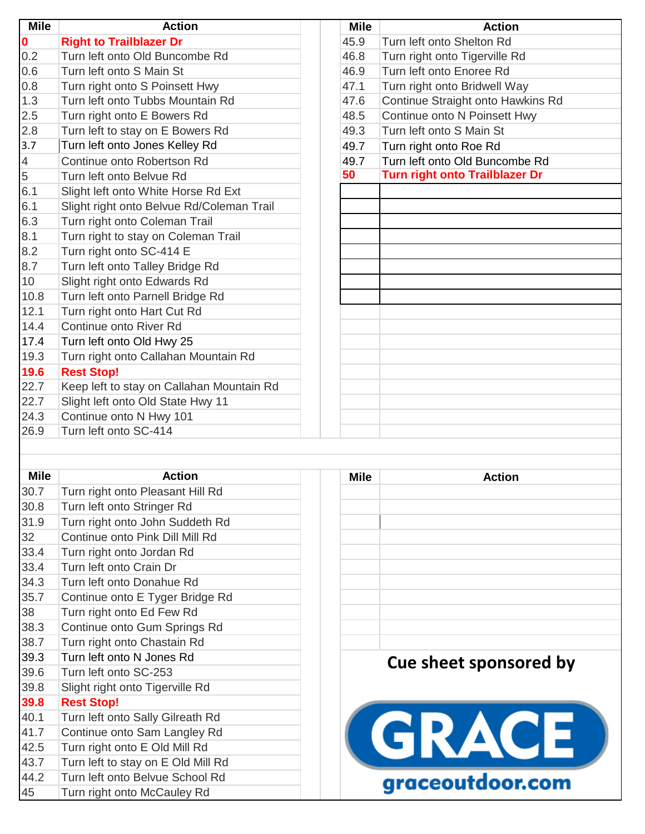| <b>Mile</b>    | <b>Action</b>                             | <b>Mile</b> | <b>Action</b>                         |
|----------------|-------------------------------------------|-------------|---------------------------------------|
| $\mathbf{0}$   | <b>Right to Trailblazer Dr</b>            | 45.9        | Turn left onto Shelton Rd             |
| 0.2            | Turn left onto Old Buncombe Rd            | 46.8        | Turn right onto Tigerville Rd         |
| 0.6            | Turn left onto S Main St                  | 46.9        | Turn left onto Enoree Rd              |
| 0.8            | Turn right onto S Poinsett Hwy            | 47.1        | Turn right onto Bridwell Way          |
| 1.3            | Turn left onto Tubbs Mountain Rd          | 47.6        | Continue Straight onto Hawkins Rd     |
| 2.5            | Turn right onto E Bowers Rd               | 48.5        | Continue onto N Poinsett Hwy          |
| 2.8            | Turn left to stay on E Bowers Rd          | 49.3        | Turn left onto S Main St              |
| 3.7            | Turn left onto Jones Kelley Rd            | 49.7        | Turn right onto Roe Rd                |
| $\overline{4}$ | Continue onto Robertson Rd                | 49.7        | Turn left onto Old Buncombe Rd        |
| $\overline{5}$ | Turn left onto Belvue Rd                  | 50          | <b>Turn right onto Trailblazer Dr</b> |
| 6.1            | Slight left onto White Horse Rd Ext       |             |                                       |
| 6.1            | Slight right onto Belvue Rd/Coleman Trail |             |                                       |
| 6.3            | Turn right onto Coleman Trail             |             |                                       |
| 8.1            | Turn right to stay on Coleman Trail       |             |                                       |
| 8.2            | Turn right onto SC-414 E                  |             |                                       |
| 8.7            | Turn left onto Talley Bridge Rd           |             |                                       |
| 10             | Slight right onto Edwards Rd              |             |                                       |
| 10.8           | Turn left onto Parnell Bridge Rd          |             |                                       |
| 12.1           | Turn right onto Hart Cut Rd               |             |                                       |
| 14.4           | Continue onto River Rd                    |             |                                       |
| 17.4           | Turn left onto Old Hwy 25                 |             |                                       |
| 19.3           | Turn right onto Callahan Mountain Rd      |             |                                       |
| 19.6           | <b>Rest Stop!</b>                         |             |                                       |
| 22.7           | Keep left to stay on Callahan Mountain Rd |             |                                       |
| 22.7           | Slight left onto Old State Hwy 11         |             |                                       |
| 24.3           | Continue onto N Hwy 101                   |             |                                       |
| 26.9           | Turn left onto SC-414                     |             |                                       |
|                |                                           |             |                                       |
|                |                                           |             |                                       |
| <b>Mile</b>    | <b>Action</b>                             | <b>Mile</b> | <b>Action</b>                         |
| 30.7           | Turn right onto Pleasant Hill Rd          |             |                                       |
| 30.8           | Turn left onto Stringer Rd                |             |                                       |
| 31.9           | Turn right onto John Suddeth Rd           |             |                                       |
| 32             | Continue onto Pink Dill Mill Rd           |             |                                       |

| 31.9 | Turn right onto John Suddeth Rd    |
|------|------------------------------------|
| 32   | Continue onto Pink Dill Mill Rd    |
| 33.4 | Turn right onto Jordan Rd          |
| 33.4 | Turn left onto Crain Dr            |
| 34.3 | Turn left onto Donahue Rd          |
| 35.7 | Continue onto E Tyger Bridge Rd    |
| 38   | Turn right onto Ed Few Rd          |
| 38.3 | Continue onto Gum Springs Rd       |
| 38.7 | Turn right onto Chastain Rd        |
| 39.3 | Turn left onto N Jones Rd          |
| 39.6 | Turn left onto SC-253              |
| 39.8 | Slight right onto Tigerville Rd    |
| 39.8 | <b>Rest Stop!</b>                  |
| 40.1 | Turn left onto Sally Gilreath Rd   |
| 41.7 | Continue onto Sam Langley Rd       |
| 42.5 | Turn right onto E Old Mill Rd      |
| 43.7 | Turn left to stay on E Old Mill Rd |
| 44.2 | Turn left onto Belvue School Rd    |
| 45   | Turn right onto McCauley Rd        |

| MIIG | ACUON                  |
|------|------------------------|
|      |                        |
|      |                        |
|      |                        |
|      |                        |
|      |                        |
|      |                        |
|      |                        |
|      |                        |
|      |                        |
|      |                        |
|      |                        |
|      |                        |
|      | Cue sheet sponsored by |
|      |                        |
|      |                        |
|      |                        |
|      |                        |
|      |                        |
|      | GRACE                  |
|      |                        |
|      |                        |
|      | graceoutdoor.com       |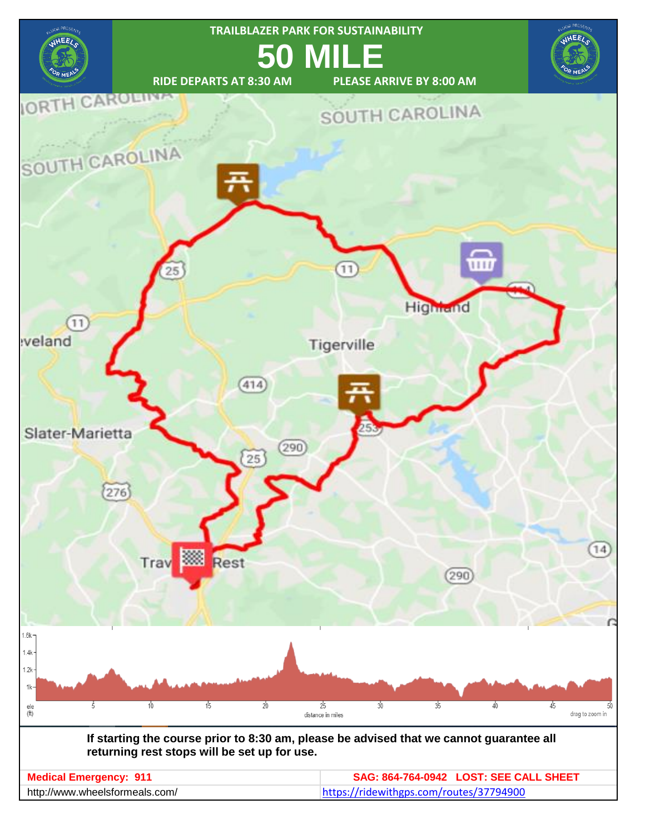